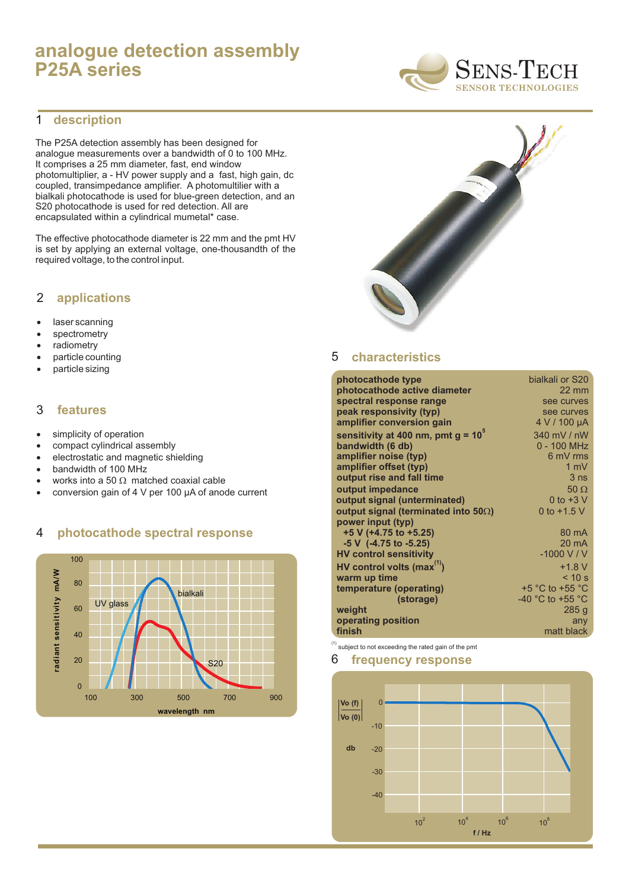# **analogue detection assembly P25A series**



#### **description** 1

The P25A detection assembly has been designed for analogue measurements over a bandwidth of 0 to 100 MHz. It comprises a 25 mm diameter, fast, end window photomultiplier, a - HV power supply and a fast, high gain, dc coupled, transimpedance amplifier. A photomultilier with a bialkali photocathode is used for blue-green detection, and an S20 photocathode is used for red detection. All are encapsulated within a cylindrical mumetal\* case.

The effective photocathode diameter is 22 mm and the pmt HV is set by applying an external voltage, one-thousandth of the required voltage, to the control input.

### 2 **applications**

laser scanning spectrometry radiometry particle counting particle sizing

### 3 **features**

simplicity of operation compact cylindrical assembly electrostatic and magnetic shielding bandwidth of 100 MHz works into a 50 matched coaxial cable conversion gain of 4 V per 100 µA of anode current

### 4 **photocathode spectral response**





#### 5 **characteristics**

| photocathode type                           | bialkali or S20                      |
|---------------------------------------------|--------------------------------------|
| photocathode active diameter                | $22 \text{ mm}$                      |
| spectral response range                     | see curves                           |
| peak responsivity (typ)                     | see curves                           |
| amplifier conversion gain                   | 4 V / 100 µA                         |
| sensitivity at 400 nm, pmt $g = 10^{\circ}$ | 340 mV / nW                          |
| bandwidth (6 db)                            | $0 - 100$ MHz                        |
| amplifier noise (typ)                       | 6 mV rms                             |
| amplifier offset (typ)                      | $1 \text{ mV}$                       |
| output rise and fall time                   | 3 <sub>ns</sub>                      |
| output impedance                            | 50                                   |
| output signal (unterminated)                | 0 to $+3$ V                          |
| output signal (terminated into 50)          | 0 to $+1.5$ V                        |
| power input (typ)                           |                                      |
| +5 V (+4.75 to +5.25)                       | $80 \text{ mA}$                      |
| $-5$ V $(-4.75$ to $-5.25)$                 | $20 \text{ mA}$                      |
| <b>HV control sensitivity</b>               | $-1000$ V / V                        |
| HV control volts $(max^{(1)})$              | $+1.8 V$                             |
| warm up time                                | < 10 s                               |
| temperature (operating)                     | $+5$ °C to $+55$ °C                  |
| (storage)                                   | -40 $^{\circ}$ C to +55 $^{\circ}$ C |
| weight                                      | 285g                                 |
| operating position                          | any                                  |
| finish                                      | matt black                           |
|                                             |                                      |

 $<sup>(1)</sup>$  subject to not exceeding the rated gain of the pmt</sup>

#### 6 **frequency response**